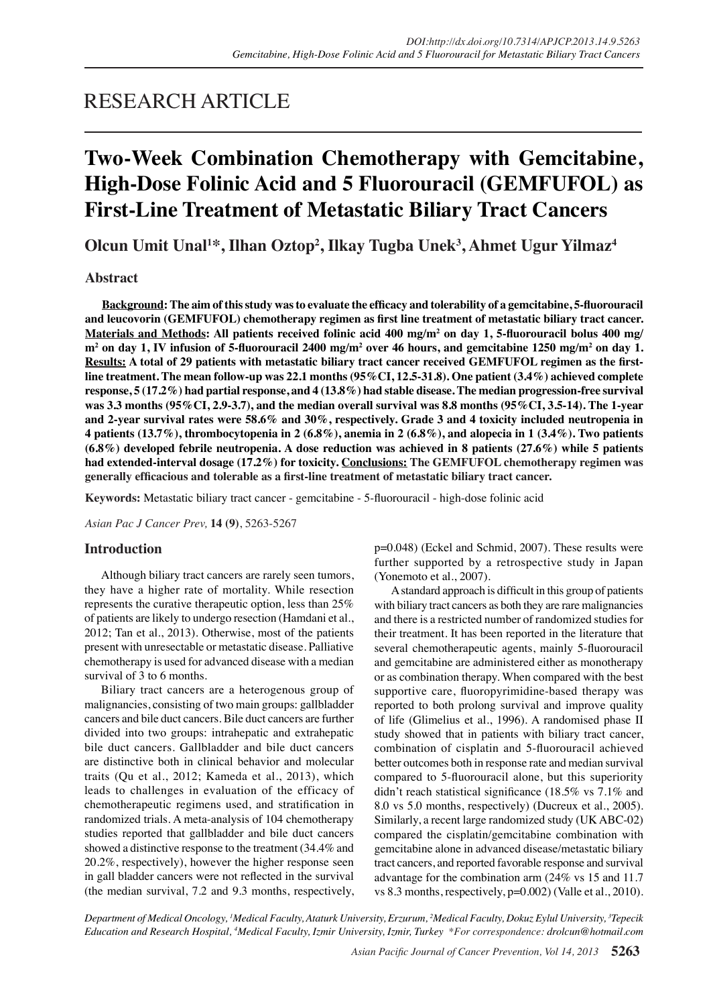## RESEARCH ARTICLE

# **Two-Week Combination Chemotherapy with Gemcitabine, High-Dose Folinic Acid and 5 Fluorouracil (GEMFUFOL) as First-Line Treatment of Metastatic Biliary Tract Cancers**

**Olcun Umit Unal1 \*, Ilhan Oztop<sup>2</sup> , Ilkay Tugba Unek<sup>3</sup> , Ahmet Ugur Yilmaz<sup>4</sup>**

## **Abstract**

**Background: The aim of this study was to evaluate the efficacy and tolerability of a gemcitabine, 5-fluorouracil and leucovorin (GEMFUFOL) chemotherapy regimen as first line treatment of metastatic biliary tract cancer. Materials and Methods: All patients received folinic acid 400 mg/m2 on day 1, 5-fluorouracil bolus 400 mg/ m2 on day 1, IV infusion of 5-fluorouracil 2400 mg/m<sup>2</sup> over 46 hours, and gemcitabine 1250 mg/m<sup>2</sup> on day 1. Results: A total of 29 patients with metastatic biliary tract cancer received GEMFUFOL regimen as the firstline treatment. The mean follow-up was 22.1 months (95%CI, 12.5-31.8). One patient (3.4%) achieved complete response, 5 (17.2%) had partial response, and 4 (13.8%) had stable disease. The median progression-free survival was 3.3 months (95%CI, 2.9-3.7), and the median overall survival was 8.8 months (95%CI, 3.5-14). The 1-year and 2-year survival rates were 58.6% and 30%, respectively. Grade 3 and 4 toxicity included neutropenia in 4 patients (13.7%), thrombocytopenia in 2 (6.8%), anemia in 2 (6.8%), and alopecia in 1 (3.4%). Two patients (6.8%) developed febrile neutropenia. A dose reduction was achieved in 8 patients (27.6%) while 5 patients had extended-interval dosage (17.2%) for toxicity. Conclusions: The GEMFUFOL chemotherapy regimen was generally efficacious and tolerable as a first-line treatment of metastatic biliary tract cancer.**

**Keywords:** Metastatic biliary tract cancer - gemcitabine - 5-fluorouracil - high-dose folinic acid

*Asian Pac J Cancer Prev,* **14 (9)**, 5263-5267

## **Introduction**

Although biliary tract cancers are rarely seen tumors, they have a higher rate of mortality. While resection represents the curative therapeutic option, less than 25% of patients are likely to undergo resection (Hamdani et al., 2012; Tan et al., 2013). Otherwise, most of the patients present with unresectable or metastatic disease. Palliative chemotherapy is used for advanced disease with a median survival of 3 to 6 months.

Biliary tract cancers are a heterogenous group of malignancies, consisting of two main groups: gallbladder cancers and bile duct cancers. Bile duct cancers are further divided into two groups: intrahepatic and extrahepatic bile duct cancers. Gallbladder and bile duct cancers are distinctive both in clinical behavior and molecular traits (Qu et al., 2012; Kameda et al., 2013), which leads to challenges in evaluation of the efficacy of chemotherapeutic regimens used, and stratification in randomized trials. A meta-analysis of 104 chemotherapy studies reported that gallbladder and bile duct cancers showed a distinctive response to the treatment (34.4% and 20.2%, respectively), however the higher response seen in gall bladder cancers were not reflected in the survival (the median survival, 7.2 and 9.3 months, respectively, p=0.048) (Eckel and Schmid, 2007). These results were further supported by a retrospective study in Japan (Yonemoto et al., 2007).

A standard approach is difficult in this group of patients with biliary tract cancers as both they are rare malignancies and there is a restricted number of randomized studies for their treatment. It has been reported in the literature that several chemotherapeutic agents, mainly 5-fluorouracil and gemcitabine are administered either as monotherapy or as combination therapy. When compared with the best supportive care, fluoropyrimidine-based therapy was reported to both prolong survival and improve quality of life (Glimelius et al., 1996). A randomised phase II study showed that in patients with biliary tract cancer, combination of cisplatin and 5-fluorouracil achieved better outcomes both in response rate and median survival compared to 5-fluorouracil alone, but this superiority didn't reach statistical significance (18.5% vs 7.1% and 8.0 vs 5.0 months, respectively) (Ducreux et al., 2005). Similarly, a recent large randomized study (UK ABC-02) compared the cisplatin/gemcitabine combination with gemcitabine alone in advanced disease/metastatic biliary tract cancers, and reported favorable response and survival advantage for the combination arm (24% vs 15 and 11.7 vs 8.3 months, respectively, p=0.002) (Valle et al., 2010).

*Department of Medical Oncology, 1 Medical Faculty, Ataturk University, Erzurum, 2 Medical Faculty, Dokuz Eylul University, 3 Tepecik Education and Research Hospital, 4 Medical Faculty, Izmir University, Izmir, Turkey \*For correspondence: drolcun@hotmail.com*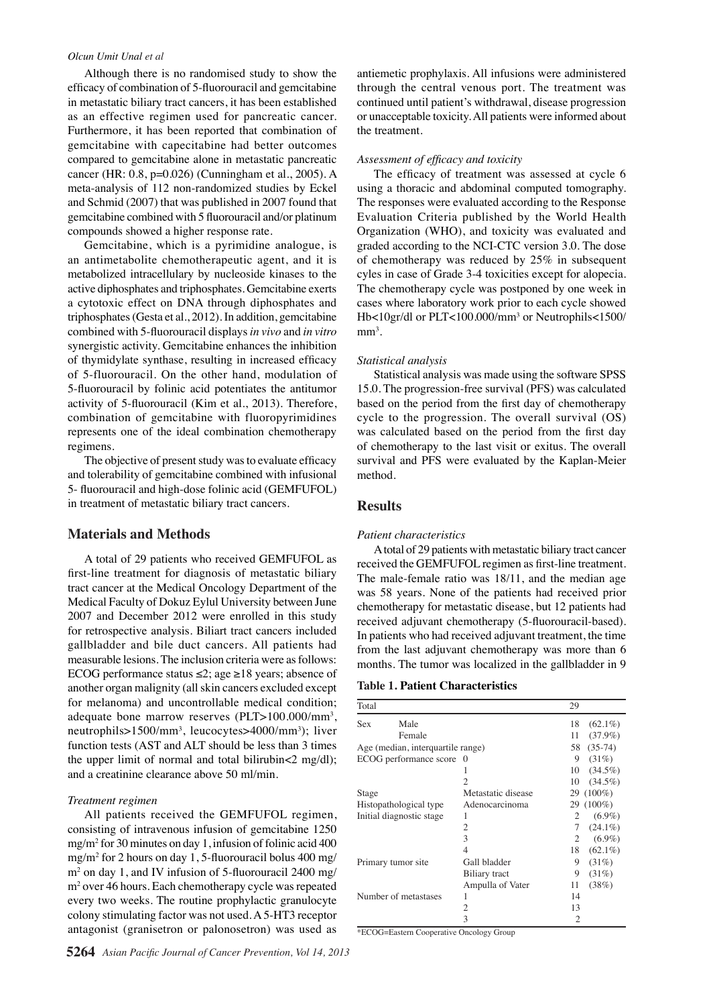#### *Olcun Umit Unal et al*

Although there is no randomised study to show the efficacy of combination of 5-fluorouracil and gemcitabine in metastatic biliary tract cancers, it has been established as an effective regimen used for pancreatic cancer. Furthermore, it has been reported that combination of gemcitabine with capecitabine had better outcomes compared to gemcitabine alone in metastatic pancreatic cancer (HR: 0.8, p=0.026) (Cunningham et al., 2005). A meta-analysis of 112 non-randomized studies by Eckel and Schmid (2007) that was published in 2007 found that gemcitabine combined with 5 fluorouracil and/or platinum compounds showed a higher response rate.

Gemcitabine, which is a pyrimidine analogue, is an antimetabolite chemotherapeutic agent, and it is metabolized intracellulary by nucleoside kinases to the active diphosphates and triphosphates. Gemcitabine exerts a cytotoxic effect on DNA through diphosphates and triphosphates (Gesta et al., 2012). In addition, gemcitabine combined with 5-fluorouracil displays *in vivo* and *in vitro* synergistic activity. Gemcitabine enhances the inhibition of thymidylate synthase, resulting in increased efficacy of 5-fluorouracil. On the other hand, modulation of 5-fluorouracil by folinic acid potentiates the antitumor activity of 5-fluorouracil (Kim et al., 2013). Therefore, combination of gemcitabine with fluoropyrimidines represents one of the ideal combination chemotherapy regimens.

The objective of present study was to evaluate efficacy and tolerability of gemcitabine combined with infusional 5- fluorouracil and high-dose folinic acid (GEMFUFOL) in treatment of metastatic biliary tract cancers.

## **Materials and Methods**

A total of 29 patients who received GEMFUFOL as first-line treatment for diagnosis of metastatic biliary tract cancer at the Medical Oncology Department of the Medical Faculty of Dokuz Eylul University between June 2007 and December 2012 were enrolled in this study for retrospective analysis. Biliart tract cancers included gallbladder and bile duct cancers. All patients had measurable lesions. The inclusion criteria were as follows: ECOG performance status ≤2; age ≥18 years; absence of another organ malignity (all skin cancers excluded except for melanoma) and uncontrollable medical condition; adequate bone marrow reserves (PLT>100.000/mm<sup>3</sup>, neutrophils>1500/mm<sup>3</sup>, leucocytes>4000/mm<sup>3</sup>); liver function tests (AST and ALT should be less than 3 times the upper limit of normal and total bilirubin<2 mg/dl); and a creatinine clearance above 50 ml/min.

#### *Treatment regimen*

All patients received the GEMFUFOL regimen, consisting of intravenous infusion of gemcitabine 1250 mg/m2 for 30 minutes on day 1, infusion of folinic acid 400 mg/m2 for 2 hours on day 1, 5-fluorouracil bolus 400 mg/ m2 on day 1, and IV infusion of 5-fluorouracil 2400 mg/ m2 over 46 hours. Each chemotherapy cycle was repeated every two weeks. The routine prophylactic granulocyte colony stimulating factor was not used. A 5-HT3 receptor antagonist (granisetron or palonosetron) was used as

antiemetic prophylaxis. All infusions were administered through the central venous port. The treatment was continued until patient's withdrawal, disease progression or unacceptable toxicity. All patients were informed about the treatment.

#### *Assessment of efficacy and toxicity*

The efficacy of treatment was assessed at cycle 6 using a thoracic and abdominal computed tomography. The responses were evaluated according to the Response Evaluation Criteria published by the World Health Organization (WHO), and toxicity was evaluated and graded according to the NCI-CTC version 3.0. The dose of chemotherapy was reduced by 25% in subsequent cyles in case of Grade 3-4 toxicities except for alopecia. The chemotherapy cycle was postponed by one week in cases where laboratory work prior to each cycle showed Hb<10gr/dl or PLT<100.000/mm3 or Neutrophils<1500/  $mm<sup>3</sup>$ .

### *Statistical analysis*

Statistical analysis was made using the software SPSS 15.0. The progression-free survival (PFS) was calculated based on the period from the first day of chemotherapy cycle to the progression. The overall survival (OS) was calculated based on the period from the first day of chemotherapy to the last visit or exitus. The overall survival and PFS were evaluated by the Kaplan-Meier method.

## **Results**

#### *Patient characteristics*

A total of 29 patients with metastatic biliary tract cancer received the GEMFUFOL regimen as first-line treatment. The male-female ratio was 18/11, and the median age was 58 years. None of the patients had received prior chemotherapy for metastatic disease, but 12 patients had received adjuvant chemotherapy (5-fluorouracil-based). In patients who had received adjuvant treatment, the time from the last adjuvant chemotherapy was more than 6 months. The tumor was localized in the gallbladder in 9

## **Table 1. Patient Characteristics**

| Total                             |                      |                    | 29 |            |
|-----------------------------------|----------------------|--------------------|----|------------|
| Sex                               | Male                 |                    | 18 | $(62.1\%)$ |
|                                   | Female               |                    | 11 | $(37.9\%)$ |
| Age (median, interquartile range) |                      |                    | 58 | $(35-74)$  |
| ECOG performance score            |                      | $\theta$           | 9  | (31%)      |
|                                   |                      |                    | 10 | $(34.5\%)$ |
|                                   |                      | 2                  | 10 | $(34.5\%)$ |
| Stage                             |                      | Metastatic disease |    | 29 (100%)  |
| Histopathological type            |                      | Adenocarcinoma     |    | 29 (100%)  |
| Initial diagnostic stage          |                      |                    | 2  | $(6.9\%)$  |
|                                   |                      | 2                  | 7  | $(24.1\%)$ |
|                                   |                      | 3                  | 2  | $(6.9\%)$  |
|                                   |                      | 4                  | 18 | $(62.1\%)$ |
| Primary tumor site                |                      | Gall bladder       | 9  | (31%)      |
|                                   |                      | Biliary tract      | 9  | (31%)      |
|                                   |                      | Ampulla of Vater   | 11 | (38%)      |
|                                   | Number of metastases | 1                  | 14 |            |
|                                   |                      | 2                  | 13 |            |
|                                   |                      | 3                  | 2  |            |

\*ECOG=Eastern Cooperative Oncology Group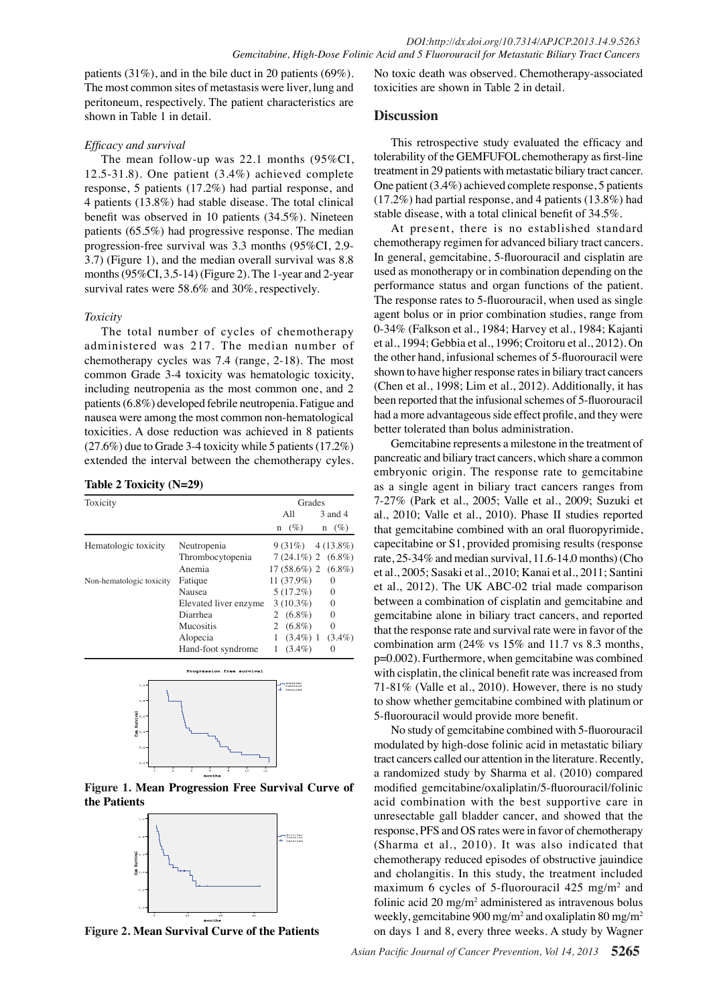patients (31%), and in the bile duct in 20 patients (69%). The most common sites of metastasis were liver, lung and peritoneum, respectively. The patient characteristics are shown in Table 1 in detail.

## *Efficacy and survival*

benefit was observed in 10 patients (34.5%). Ninetee $\frac{1}{2}00.0$ stable disease, with a total clinical benefit of 34.5%. 3.7) (Figure 1), and the median overall survival was  $8.875.0$ The mean follow-up was 22.1 months (95%CI, 12.5-31.8). One patient (3.4%) achieved complete response, 5 patients (17.2%) had partial response, and 4 patients (13.8%) had stable disease. The total clinical patients (65.5%) had progressive response. The median progression-free survival was 3.3 months (95%CI, 2.9 months (95%CI, 3.5-14) (Figure 2). The 1-year and 2-year survival rates were 58.6% and 30%, respectively.

### *Toxicity*

chemotherapy cycles was 7.4 (range, 2-18). The most<sub>25.0</sub> The total number of cycles of chemotherapy administered was 217. The median number of common Grade 3-4 toxicity was hematologic toxicity, including neutropenia as the most common one, and 2 patients (6.8%) developed febrile neutropenia. Fatigue and nausea were among the most common non-hematological toxicities. A dose reduction was achieved in 8 patients (27.6%) due to Grade 3-4 toxicity while 5 patients (17.2%) extended the interval between the chemotherapy cyles.

### **Table 2 Toxicity (N=29)**

| Toxicity                 | Grades                    |                             |                         |
|--------------------------|---------------------------|-----------------------------|-------------------------|
|                          |                           | All                         | 3 and 4                 |
|                          |                           | $(\%)$<br>n                 | $(\%)$<br>n             |
| Hematologic toxicity     | Neutropenia               |                             | $9(31\%)$ $4(13.8\%)$   |
|                          | Thrombocytopenia          |                             | $7(24.1\%)$ 2 $(6.8\%)$ |
|                          | Anemia                    | $17(58.6\%)$ 2 $(6.8\%)$    |                         |
| Non-hematologic toxicity | Fatique                   | $11(37.9\%)$                | $\Omega$                |
|                          | Nausea                    | $5(17.2\%)$                 | $\mathbf{0}$            |
|                          | Elevated liver enzyme     | $3(10.3\%)$                 | $\Omega$                |
|                          | Diarrhea                  | 2 $(6.8\%)$                 | $\Omega$                |
|                          | <b>Mucositis</b>          | 2 $(6.8\%)$                 | $\Omega$                |
|                          | Alopecia                  | $(3.4\%)$ 1                 | $(3.4\%)$               |
|                          | Hand-foot syndrome        | $(3.4\%)$<br>1              | $\Omega$                |
|                          | Progression free survival |                             |                         |
| $1,0 -$                  |                           | Burvival<br><b>Punction</b> |                         |



**Figure 1. Mean Progression Free Survival Curve of the Patients**



**Figure 2. Mean Survival Curve of the Patients**

No toxic death was observed. Chemotherapy-associated toxicities are shown in Table 2 in detail.

## **Discussion**

This retrospective study evaluated the efficacy and tolerability of the GEMFUFOL chemotherapy as first-line treatment in 29 patients with metastatic biliary tract cancer. One patient (3.4%) achieved complete response, 5 patients (17.2%) had partial response, and 4 patients (13.8%) had



O had a more advantageous side effect profile, and they were better tolerated than bolus administration

Gemciabine represents a milestone in the treatment of pancreatic and biliar funct cancers, which share a common embryon $\mathbf{F}$  origin. The response rate to gemcitabine as a single agent in biliary that cancers ranges from 7-27% (Park et al., 2005; Valle et al., 2009; Suzuki et al., 2010; Valle et  $\frac{3}{4}$ , 2010). Phase II studies reported that geme $\frac{1}{3}$ abine combined with an oral fluoropyrimide, capecitabile or S1, provided promising results (response rate,  $25-3\frac{2}{3}$  and median survival, 11.6-14.0 months) (Cho et al., 2005; Sasaki et al., 2010; Kanai et al., 2011; Santini et al., 2012). The UK ABC-02 trial made comparison between a combination of cisplatin and gemcitabine and gemcitabine alone in biliary tract cancers, and reported that the response rate and survival rate were in favor of the combination arm (24% vs 15% and 11.7 vs 8.3 months, p=0.002). Furthermore, when gemcitabine was combined with cisplatin, the clinical benefit rate was increased from 71-81% (Valle et al., 2010). However, there is no study to show whether gemcitabine combined with platinum or 5-fluorouracil would provide more benefit. Newly diagnosed when the treatment Heleteptative pasoder电 /Boya Persistence or recurrence Remission

No study of gemcitabine combined with 5-fluorouracil modulated by high-dose folinic acid in metastatic biliary tract cancers called our attention in the literature. Recently, a randomized study by Sharma et al. (2010) compared modified gemcitabine/oxaliplatin/5-fluorouracil/folinic acid combination with the best supportive care in unresectable gall bladder cancer, and showed that the response, PFS and OS rates were in favor of chemotherapy (Sharma et al., 2010). It was also indicated that chemotherapy reduced episodes of obstructive jauindice and cholangitis. In this study, the treatment included maximum 6 cycles of 5-fluorouracil  $425 \text{ mg/m}^2$  and folinic acid  $20 \text{ mg/m}^2$  administered as intravenous bolus weekly, gemcitabine 900 mg/m<sup>2</sup> and oxaliplatin 80 mg/m<sup>2</sup> on days 1 and 8, every three weeks. A study by Wagner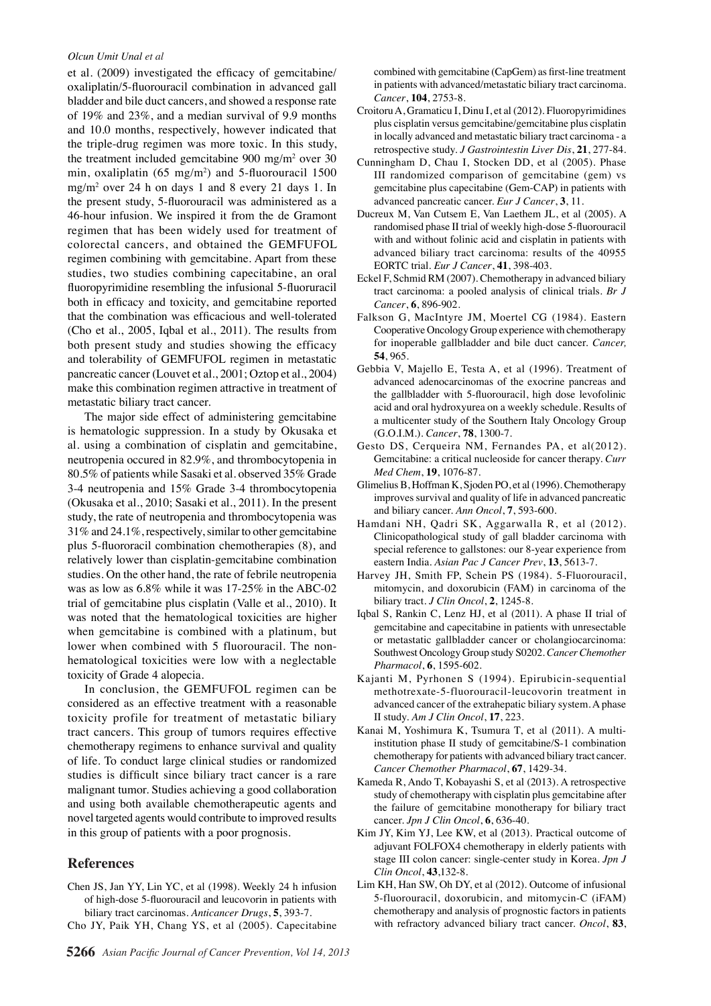#### *Olcun Umit Unal et al*

et al. (2009) investigated the efficacy of gemcitabine/ oxaliplatin/5-fluorouracil combination in advanced gall bladder and bile duct cancers, and showed a response rate of 19% and 23%, and a median survival of 9.9 months and 10.0 months, respectively, however indicated that the triple-drug regimen was more toxic. In this study, the treatment included gemcitabine 900 mg/m2 over 30 min, oxaliplatin  $(65 \text{ mg/m}^2)$  and 5-fluorouracil 1500 mg/m2 over 24 h on days 1 and 8 every 21 days 1. In the present study, 5-fluorouracil was administered as a 46-hour infusion. We inspired it from the de Gramont regimen that has been widely used for treatment of colorectal cancers, and obtained the GEMFUFOL regimen combining with gemcitabine. Apart from these studies, two studies combining capecitabine, an oral fluoropyrimidine resembling the infusional 5-fluoruracil both in efficacy and toxicity, and gemcitabine reported that the combination was efficacious and well-tolerated (Cho et al., 2005, Iqbal et al., 2011). The results from both present study and studies showing the efficacy and tolerability of GEMFUFOL regimen in metastatic pancreatic cancer (Louvet et al., 2001; Oztop et al., 2004) make this combination regimen attractive in treatment of metastatic biliary tract cancer.

The major side effect of administering gemcitabine is hematologic suppression. In a study by Okusaka et al. using a combination of cisplatin and gemcitabine, neutropenia occured in 82.9%, and thrombocytopenia in 80.5% of patients while Sasaki et al. observed 35% Grade 3-4 neutropenia and 15% Grade 3-4 thrombocytopenia (Okusaka et al., 2010; Sasaki et al., 2011). In the present study, the rate of neutropenia and thrombocytopenia was 31% and 24.1%, respectively, similar to other gemcitabine plus 5-fluororacil combination chemotherapies (8), and relatively lower than cisplatin-gemcitabine combination studies. On the other hand, the rate of febrile neutropenia was as low as 6.8% while it was 17-25% in the ABC-02 trial of gemcitabine plus cisplatin (Valle et al., 2010). It was noted that the hematological toxicities are higher when gemcitabine is combined with a platinum, but lower when combined with 5 fluorouracil. The nonhematological toxicities were low with a neglectable toxicity of Grade 4 alopecia.

In conclusion, the GEMFUFOL regimen can be considered as an effective treatment with a reasonable toxicity profile for treatment of metastatic biliary tract cancers. This group of tumors requires effective chemotherapy regimens to enhance survival and quality of life. To conduct large clinical studies or randomized studies is difficult since biliary tract cancer is a rare malignant tumor. Studies achieving a good collaboration and using both available chemotherapeutic agents and novel targeted agents would contribute to improved results in this group of patients with a poor prognosis.

## **References**

- Chen JS, Jan YY, Lin YC, et al (1998). Weekly 24 h infusion of high-dose 5-fluorouracil and leucovorin in patients with biliary tract carcinomas. *Anticancer Drugs*, **5**, 393-7.
- Cho JY, Paik YH, Chang YS, et al (2005). Capecitabine

combined with gemcitabine (CapGem) as first-line treatment in patients with advanced/metastatic biliary tract carcinoma. *Cancer*, **104**, 2753-8.

- Croitoru A, Gramaticu I, Dinu I, et al (2012). Fluoropyrimidines plus cisplatin versus gemcitabine/gemcitabine plus cisplatin in locally advanced and metastatic biliary tract carcinoma - a retrospective study. *J Gastrointestin Liver Dis*, **21**, 277-84.
- Cunningham D, Chau I, Stocken DD, et al (2005). Phase III randomized comparison of gemcitabine (gem) vs gemcitabine plus capecitabine (Gem-CAP) in patients with advanced pancreatic cancer. *Eur J Cancer*, **3**, 11.
- Ducreux M, Van Cutsem E, Van Laethem JL, et al (2005). A randomised phase II trial of weekly high-dose 5-fluorouracil with and without folinic acid and cisplatin in patients with advanced biliary tract carcinoma: results of the 40955 EORTC trial. *Eur J Cancer*, **41**, 398-403.
- Eckel F, Schmid RM (2007). Chemotherapy in advanced biliary tract carcinoma: a pooled analysis of clinical trials. *Br J Cancer*, **6**, 896-902.
- Falkson G, MacIntyre JM, Moertel CG (1984). Eastern Cooperative Oncology Group experience with chemotherapy for inoperable gallbladder and bile duct cancer. *Cancer,* **54**, 965.
- Gebbia V, Majello E, Testa A, et al (1996). Treatment of advanced adenocarcinomas of the exocrine pancreas and the gallbladder with 5-fluorouracil, high dose levofolinic acid and oral hydroxyurea on a weekly schedule. Results of a multicenter study of the Southern Italy Oncology Group (G.O.I.M.). *Cancer*, **78**, 1300-7.
- Gesto DS, Cerqueira NM, Fernandes PA, et al(2012). Gemcitabine: a critical nucleoside for cancer therapy. *Curr Med Chem*, **19**, 1076-87.
- Glimelius B, Hoffman K, Sjoden PO, et al (1996). Chemotherapy improves survival and quality of life in advanced pancreatic and biliary cancer. *Ann Oncol*, **7**, 593-600.
- Hamdani NH, Qadri SK, Aggarwalla R, et al (2012). Clinicopathological study of gall bladder carcinoma with special reference to gallstones: our 8-year experience from eastern India. *Asian Pac J Cancer Prev*, **13**, 5613-7.
- Harvey JH, Smith FP, Schein PS (1984). 5-Fluorouracil, mitomycin, and doxorubicin (FAM) in carcinoma of the biliary tract. *J Clin Oncol*, **2**, 1245-8.
- Iqbal S, Rankin C, Lenz HJ, et al (2011). A phase II trial of gemcitabine and capecitabine in patients with unresectable or metastatic gallbladder cancer or cholangiocarcinoma: Southwest Oncology Group study S0202. *Cancer Chemother Pharmacol*, **6**, 1595-602.
- Kajanti M, Pyrhonen S (1994). Epirubicin-sequential methotrexate-5-fluorouracil-leucovorin treatment in advanced cancer of the extrahepatic biliary system. A phase II study. *Am J Clin Oncol*, **17**, 223.
- Kanai M, Yoshimura K, Tsumura T, et al (2011). A multiinstitution phase II study of gemcitabine/S-1 combination chemotherapy for patients with advanced biliary tract cancer. *Cancer Chemother Pharmacol*, **67**, 1429-34.
- Kameda R, Ando T, Kobayashi S, et al (2013). A retrospective study of chemotherapy with cisplatin plus gemcitabine after the failure of gemcitabine monotherapy for biliary tract cancer. *Jpn J Clin Oncol*, **6**, 636-40.
- Kim JY, Kim YJ, Lee KW, et al (2013). Practical outcome of adjuvant FOLFOX4 chemotherapy in elderly patients with stage III colon cancer: single-center study in Korea. *Jpn J Clin Oncol*, **43**,132-8.
- Lim KH, Han SW, Oh DY, et al (2012). Outcome of infusional 5-fluorouracil, doxorubicin, and mitomycin-C (iFAM) chemotherapy and analysis of prognostic factors in patients with refractory advanced biliary tract cancer. *Oncol*, **83**,